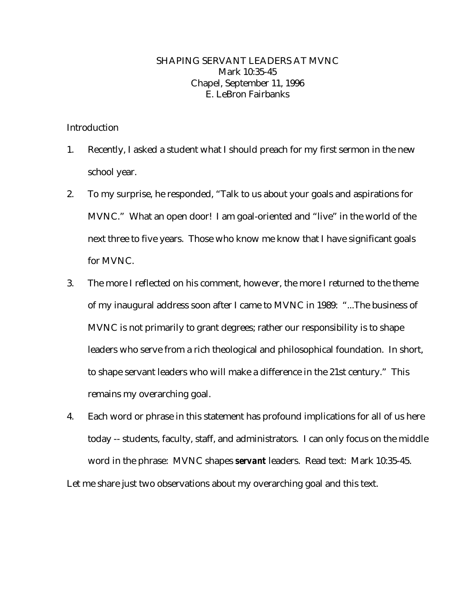## SHAPING SERVANT LEADERS AT MVNC Mark 10:35-45 Chapel, September 11, 1996 E. LeBron Fairbanks

## Introduction

- 1. Recently, I asked a student what I should preach for my first sermon in the new school year.
- 2. To my surprise, he responded, "Talk to us about your goals and aspirations for MVNC." What an open door! I am goal-oriented and "live" in the world of the next three to five years. Those who know me know that I have significant goals for MVNC.
- 3. The more I reflected on his comment, however, the more I returned to the theme of my inaugural address soon after I came to MVNC in 1989: "...The business of MVNC is not primarily to grant degrees; rather our responsibility is to shape leaders who serve from a rich theological and philosophical foundation. In short, to shape servant leaders who will make a difference in the 21st century." This remains my overarching goal.
- 4. Each word or phrase in this statement has profound implications for all of us here today -- students, faculty, staff, and administrators. I can only focus on the middle word in the phrase: MVNC shapes *servant* leaders. Read text: Mark 10:35-45.

Let me share just two observations about my overarching goal and this text.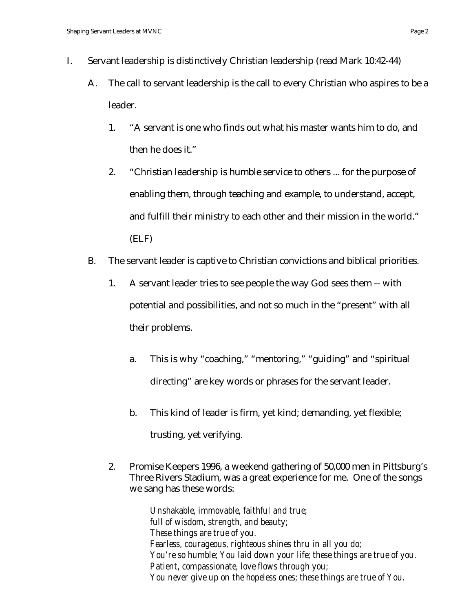- I. Servant leadership is distinctively Christian leadership (read Mark 10:42-44)
	- A. The call to servant leadership is the call to every Christian who aspires to be a leader.
		- 1. "A servant is one who finds out what his master wants him to do, and then he does it."
		- 2. "Christian leadership is humble service to others ... for the purpose of enabling them, through teaching and example, to understand, accept, and fulfill their ministry to each other and their mission in the world." (ELF)
	- B. The servant leader is captive to Christian convictions and biblical priorities.
		- 1. A servant leader tries to see people the way God sees them -- with potential and possibilities, and not so much in the "present" with all their problems.
			- a. This is why "coaching," "mentoring," "guiding" and "spiritual directing" are key words or phrases for the servant leader.
			- b. This kind of leader is firm, yet kind; demanding, yet flexible; trusting, yet verifying.
		- 2. Promise Keepers 1996, a weekend gathering of 50,000 men in Pittsburg's Three Rivers Stadium, was a great experience for me. One of the songs we sang has these words:

*Unshakable, immovable, faithful and true; full of wisdom, strength, and beauty; These things are true of you. Fearless, courageous, righteous shines thru in all you do; You're so humble; You laid down your life; these things are true of you. Patient, compassionate, love flows through you; You never give up on the hopeless ones; these things are true of You.*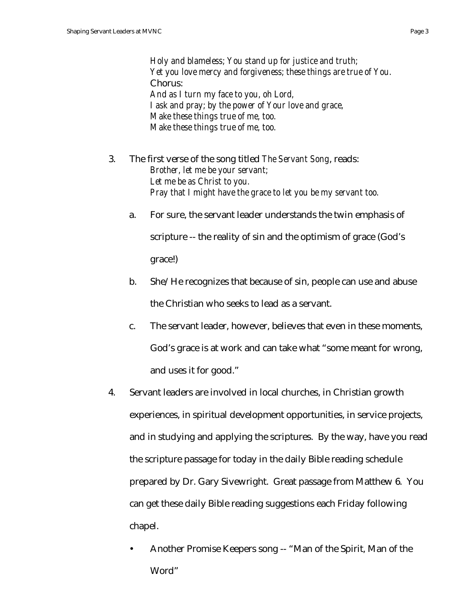*Holy and blameless; You stand up for justice and truth; Yet you love mercy and forgiveness; these things are true of You.* Chorus: *And as I turn my face to you, oh Lord, I ask and pray; by the power of Your love and grace, Make these things true of me, too. Make these things true of me, too.*

- 3. The first verse of the song titled *The Servant Song*, reads: *Brother, let me be your servant; Let me be as Christ to you. Pray that I might have the grace to let you be my servant too.*
	- a. For sure, the servant leader understands the twin emphasis of scripture -- the reality of sin and the optimism of grace (God's

grace!)

- b. She/He recognizes that because of sin, people can use and abuse the Christian who seeks to lead as a servant.
- c. The servant leader, however, believes that even in these moments, God's grace is at work and can take what "some meant for wrong, and uses it for good."
- 4. Servant leaders are involved in local churches, in Christian growth experiences, in spiritual development opportunities, in service projects, and in studying and applying the scriptures. By the way, have you read the scripture passage for today in the daily Bible reading schedule prepared by Dr. Gary Sivewright. Great passage from Matthew 6. You can get these daily Bible reading suggestions each Friday following chapel.
	- Another Promise Keepers song -- "Man of the Spirit, Man of the Word"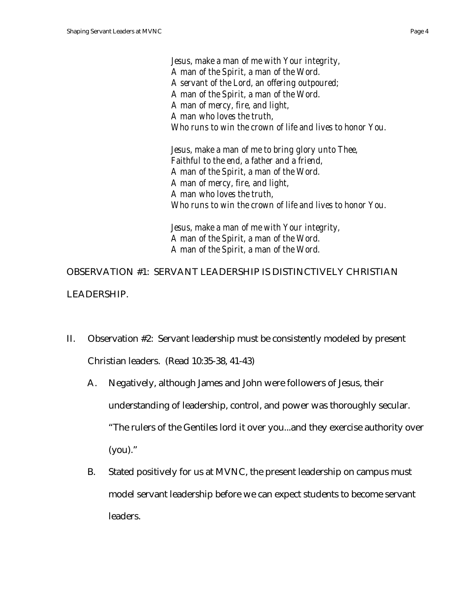*Jesus, make a man of me with Your integrity, A man of the Spirit, a man of the Word. A servant of the Lord, an offering outpoured; A man of the Spirit, a man of the Word. A man of mercy, fire, and light, A man who loves the truth, Who runs to win the crown of life and lives to honor You.*

*Jesus, make a man of me to bring glory unto Thee, Faithful to the end, a father and a friend, A man of the Spirit, a man of the Word. A man of mercy, fire, and light, A man who loves the truth, Who runs to win the crown of life and lives to honor You.*

*Jesus, make a man of me with Your integrity, A man of the Spirit, a man of the Word. A man of the Spirit, a man of the Word.*

OBSERVATION #1: SERVANT LEADERSHIP IS DISTINCTIVELY CHRISTIAN LEADERSHIP.

- II. Observation #2: Servant leadership must be consistently modeled by present Christian leaders. (Read 10:35-38, 41-43)
	- A. Negatively, although James and John were followers of Jesus, their understanding of leadership, control, and power was thoroughly secular. "The rulers of the Gentiles lord it over you...and they exercise authority over (you)."
	- B. Stated positively for us at MVNC, the present leadership on campus must model servant leadership before we can expect students to become servant leaders.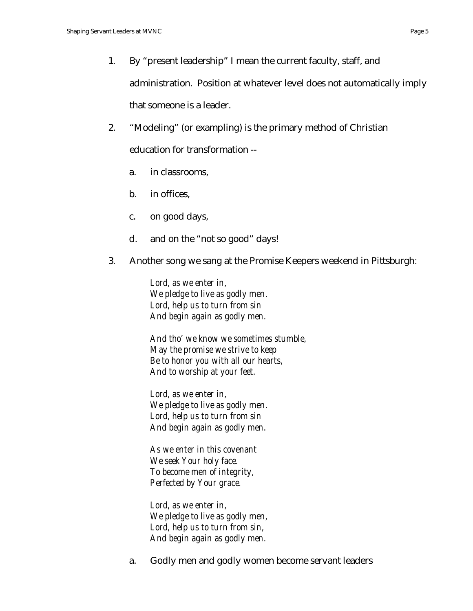- 1. By "present leadership" I mean the current faculty, staff, and administration. Position at whatever level does not automatically imply that someone is a leader.
- 2. "Modeling" (or exampling) is the primary method of Christian education for transformation -
	- a. in classrooms,
	- b. in offices,
	- c. on good days,
	- d. and on the "not so good" days!
- 3. Another song we sang at the Promise Keepers weekend in Pittsburgh:

*Lord, as we enter in, We pledge to live as godly men. Lord, help us to turn from sin And begin again as godly men.*

*And tho' we know we sometimes stumble, May the promise we strive to keep Be to honor you with all our hearts, And to worship at your feet.*

*Lord, as we enter in, We pledge to live as godly men. Lord, help us to turn from sin And begin again as godly men.*

*As we enter in this covenant We seek Your holy face. To become men of integrity, Perfected by Your grace.*

*Lord, as we enter in, We pledge to live as godly men, Lord, help us to turn from sin, And begin again as godly men.*

a. Godly men and godly women become servant leaders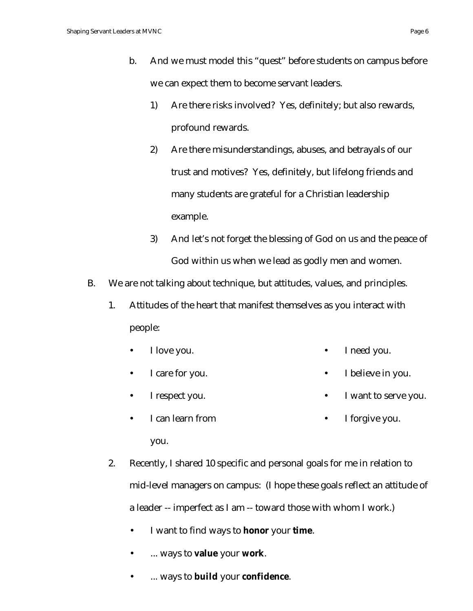- 1) Are there risks involved? Yes, definitely; but also rewards, profound rewards.
- 2) Are there misunderstandings, abuses, and betrayals of our trust and motives? Yes, definitely, but lifelong friends and many students are grateful for a Christian leadership example.
- 3) And let's not forget the blessing of God on us and the peace of God within us when we lead as godly men and women.
- B. We are not talking about technique, but attitudes, values, and principles.
	- 1. Attitudes of the heart that manifest themselves as you interact with people:
		- I love you. • I need you.
		- I care for you. I believe in you.
		- I respect you. I want to serve you.
		- I can learn from you. I forgive you.
	- 2. Recently, I shared 10 specific and personal goals for me in relation to mid-level managers on campus: (I hope these goals reflect an attitude of a leader -- imperfect as I am -- toward those with whom I work.)
		- I want to find ways to **honor** your **time**.
		- ... ways to **value** your **work**.
		- ... ways to **build** your **confidence**.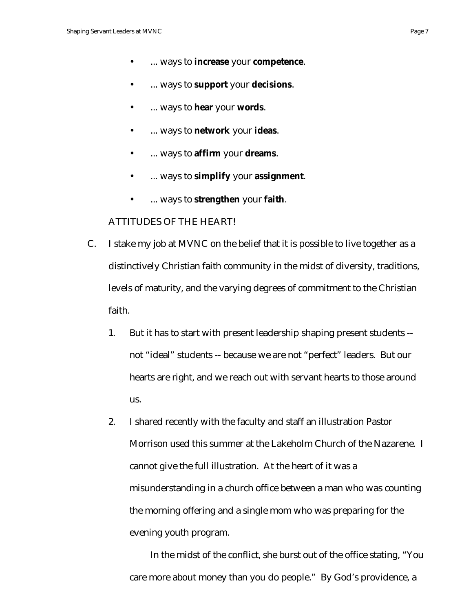- ... ways to **increase** your **competence**.
- ... ways to **support** your **decisions**.
- ... ways to **hear** your **words**.
- ... ways to **network** your **ideas**.
- ... ways to **affirm** your **dreams**.
- ... ways to **simplify** your **assignment**.
- ... ways to **strengthen** your **faith**.

## ATTITUDES OF THE HEART!

- C. I stake my job at MVNC on the belief that it is possible to live together as a distinctively Christian faith community in the midst of diversity, traditions, levels of maturity, and the varying degrees of commitment to the Christian faith.
	- 1. But it has to start with present leadership shaping present students not "ideal" students -- because we are not "perfect" leaders. But our hearts are right, and we reach out with servant hearts to those around us.
	- 2. I shared recently with the faculty and staff an illustration Pastor Morrison used this summer at the Lakeholm Church of the Nazarene. I cannot give the full illustration. At the heart of it was a misunderstanding in a church office between a man who was counting the morning offering and a single mom who was preparing for the evening youth program.

In the midst of the conflict, she burst out of the office stating, "You care more about money than you do people." By God's providence, a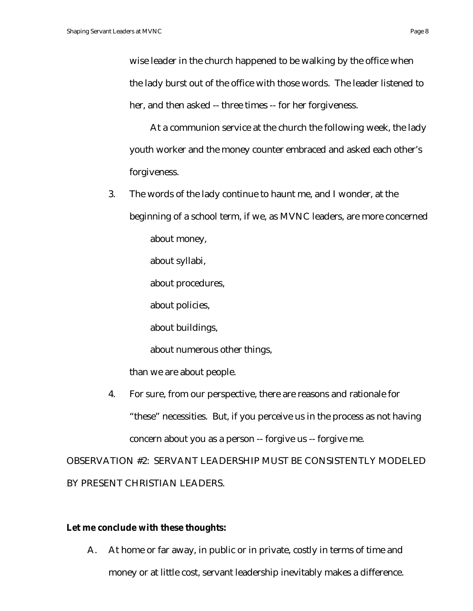wise leader in the church happened to be walking by the office when the lady burst out of the office with those words. The leader listened to her, and then asked -- three times -- for her forgiveness.

At a communion service at the church the following week, the lady youth worker and the money counter embraced and asked each other's forgiveness.

- 3. The words of the lady continue to haunt me, and I wonder, at the beginning of a school term, if we, as MVNC leaders, are more concerned about money, about syllabi, about procedures, about policies, about buildings, about numerous other things, than we are about people.
- 4. For sure, from our perspective, there are reasons and rationale for "these" necessities. But, if you perceive us in the process as not having concern about you as a person -- forgive us -- forgive me.

OBSERVATION #2: SERVANT LEADERSHIP MUST BE CONSISTENTLY MODELED BY PRESENT CHRISTIAN LEADERS.

## **Let me conclude with these thoughts:**

A. At home or far away, in public or in private, costly in terms of time and money or at little cost, servant leadership inevitably makes a difference.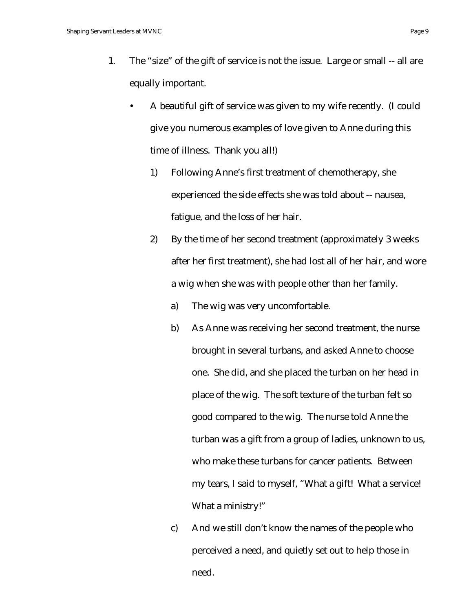- 1. The "size" of the gift of service is not the issue. Large or small -- all are equally important.
	- A beautiful gift of service was given to my wife recently. (I could give you numerous examples of love given to Anne during this time of illness. Thank you all!)
		- 1) Following Anne's first treatment of chemotherapy, she experienced the side effects she was told about -- nausea, fatigue, and the loss of her hair.
		- 2) By the time of her second treatment (approximately 3 weeks after her first treatment), she had lost all of her hair, and wore a wig when she was with people other than her family.
			- a) The wig was very uncomfortable.
			- b) As Anne was receiving her second treatment, the nurse brought in several turbans, and asked Anne to choose one. She did, and she placed the turban on her head in place of the wig. The soft texture of the turban felt so good compared to the wig. The nurse told Anne the turban was a gift from a group of ladies, unknown to us, who make these turbans for cancer patients. Between my tears, I said to myself, "What a gift! What a service! What a ministry!"
			- c) And we still don't know the names of the people who perceived a need, and quietly set out to help those in need.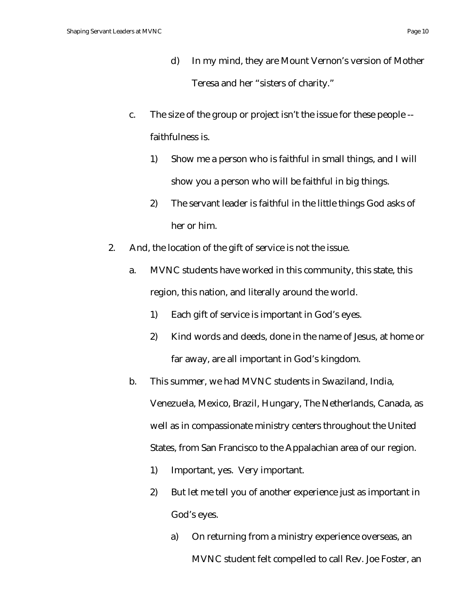- d) In my mind, they are Mount Vernon's version of Mother Teresa and her "sisters of charity."
- c. The size of the group or project isn't the issue for these people faithfulness is.
	- 1) Show me a person who is faithful in small things, and I will show you a person who will be faithful in big things.
	- 2) The servant leader is faithful in the little things God asks of her or him.
- 2. And, the location of the gift of service is not the issue.
	- a. MVNC students have worked in this community, this state, this region, this nation, and literally around the world.
		- 1) Each gift of service is important in God's eyes.
		- 2) Kind words and deeds, done in the name of Jesus, at home or far away, are all important in God's kingdom.
	- b. This summer, we had MVNC students in Swaziland, India, Venezuela, Mexico, Brazil, Hungary, The Netherlands, Canada, as well as in compassionate ministry centers throughout the United States, from San Francisco to the Appalachian area of our region.
		- 1) Important, yes. Very important.
		- 2) But let me tell you of another experience just as important in God's eyes.
			- a) On returning from a ministry experience overseas, an MVNC student felt compelled to call Rev. Joe Foster, an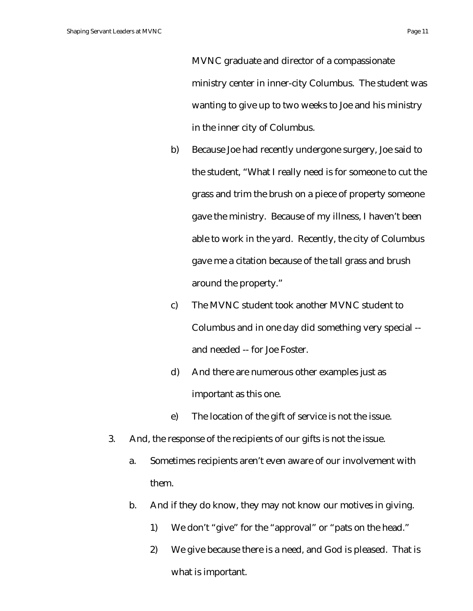MVNC graduate and director of a compassionate ministry center in inner-city Columbus. The student was wanting to give up to two weeks to Joe and his ministry in the inner city of Columbus.

- b) Because Joe had recently undergone surgery, Joe said to the student, "What I really need is for someone to cut the grass and trim the brush on a piece of property someone gave the ministry. Because of my illness, I haven't been able to work in the yard. Recently, the city of Columbus gave me a citation because of the tall grass and brush around the property."
- c) The MVNC student took another MVNC student to Columbus and in one day did something very special - and needed -- for Joe Foster.
- d) And there are numerous other examples just as important as this one.
- e) The location of the gift of service is not the issue.
- 3. And, the response of the recipients of our gifts is not the issue.
	- a. Sometimes recipients aren't even aware of our involvement with them.
	- b. And if they do know, they may not know our motives in giving.
		- 1) We don't "give" for the "approval" or "pats on the head."
		- 2) We give because there is a need, and God is pleased. That is what is important.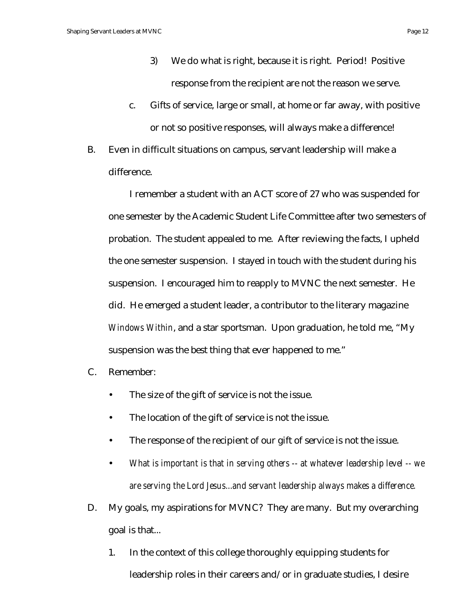- 3) We do what is right, because it is right. Period! Positive response from the recipient are not the reason we serve.
- c. Gifts of service, large or small, at home or far away, with positive or not so positive responses, will always make a difference!
- B. Even in difficult situations on campus, servant leadership will make a difference.

I remember a student with an ACT score of 27 who was suspended for one semester by the Academic Student Life Committee after two semesters of probation. The student appealed to me. After reviewing the facts, I upheld the one semester suspension. I stayed in touch with the student during his suspension. I encouraged him to reapply to MVNC the next semester. He did. He emerged a student leader, a contributor to the literary magazine *Windows Within*, and a star sportsman. Upon graduation, he told me, "My suspension was the best thing that ever happened to me."

- C. Remember:
	- The size of the gift of service is not the issue.
	- The location of the gift of service is not the issue.
	- The response of the recipient of our gift of service is not the issue.
	- *What is important is that in serving others -- at whatever leadership level -- we are serving the Lord Jesus...and servant leadership always makes a difference.*
- D. My goals, my aspirations for MVNC? They are many. But my overarching goal is that...
	- 1. In the context of this college thoroughly equipping students for leadership roles in their careers and/or in graduate studies, I desire